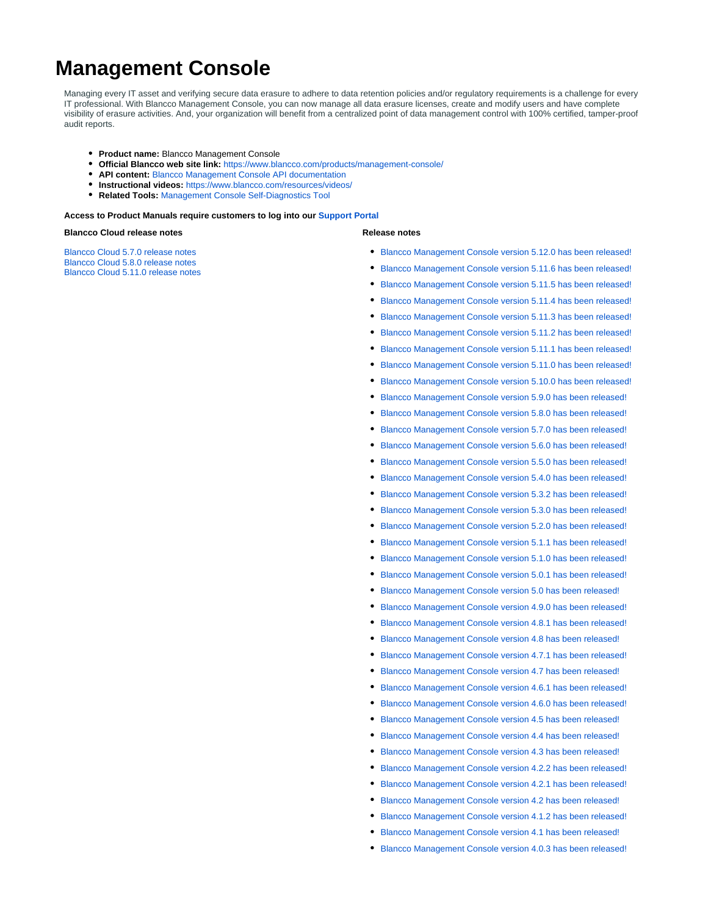# **Management Console**

Managing every IT asset and verifying secure data erasure to adhere to data retention policies and/or regulatory requirements is a challenge for every IT professional. With Blancco Management Console, you can now manage all data erasure licenses, create and modify users and have complete visibility of erasure activities. And, your organization will benefit from a centralized point of data management control with 100% certified, tamper-proof audit reports.

- **Product name:** Blancco Management Console
- **Official Blancco web site link:** <https://www.blancco.com/products/management-console/>
- **API content:** [Blancco Management Console API documentation](https://support.blancco.com/display/KB/API+documentation)
- **Instructional videos:** <https://www.blancco.com/resources/videos/>
- **Related Tools:** [Management Console Self-Diagnostics Tool](https://support.blancco.com/display/KB/Blancco+Management+Console+Self-Diagnostics+Tool)

## **Access to Product Manuals require customers to log into our [Support Portal](https://servicedesk.blancco.com/servicedesk/customer/portal/6)**

### **Blancco Cloud release notes**

[Blancco Cloud 5.7.0 release notes](https://download.blancco.com/products/erasure/management_console/release_notes/Blancco_Cloud_5.7.0_Release_Notes.pdf) [Blancco Cloud 5.8.0 release notes](https://download.blancco.com/products/erasure/management_console/release_notes/Blancco_Cloud_5.8.0_Release_Notes.pdf) [Blancco Cloud 5.11.0 release notes](https://download.blancco.com/products/erasure/management_console/release_notes/Blancco_Cloud_5.11.0_Release_Notes.pdf)

#### **Release notes**

- [Blancco Management Console version 5.12.0 has been released!](https://support.blancco.com/pages/viewpage.action?pageId=68649115)
- [Blancco Management Console version 5.11.6 has been released!](https://support.blancco.com/pages/viewpage.action?pageId=68649045)
- [Blancco Management Console version 5.11.5 has been released!](https://support.blancco.com/pages/viewpage.action?pageId=63275529)
- [Blancco Management Console version 5.11.4 has been released!](https://support.blancco.com/pages/viewpage.action?pageId=63275263)
- [Blancco Management Console version 5.11.3 has been released!](https://support.blancco.com/pages/viewpage.action?pageId=63275208)
- [Blancco Management Console version 5.11.2 has been released!](https://support.blancco.com/pages/viewpage.action?pageId=63275150)
- $\bullet$ [Blancco Management Console version 5.11.1 has been released!](https://support.blancco.com/pages/viewpage.action?pageId=63275121)
- $\bullet$ [Blancco Management Console version 5.11.0 has been released!](https://support.blancco.com/pages/viewpage.action?pageId=63275092)
- $\bullet$ [Blancco Management Console version 5.10.0 has been released!](https://support.blancco.com/pages/viewpage.action?pageId=59736089)
- [Blancco Management Console version 5.9.0 has been released!](https://support.blancco.com/pages/viewpage.action?pageId=46433713)
- $\bullet$ [Blancco Management Console version 5.8.0 has been released!](https://support.blancco.com/pages/viewpage.action?pageId=46433381)
- [Blancco Management Console version 5.7.0 has been released!](https://support.blancco.com/pages/viewpage.action?pageId=46432912)
- [Blancco Management Console version 5.6.0 has been released!](https://support.blancco.com/pages/viewpage.action?pageId=46432515)
- $\bullet$ [Blancco Management Console version 5.5.0 has been released!](https://support.blancco.com/pages/viewpage.action?pageId=46432302)
- [Blancco Management Console version 5.4.0 has been released!](https://support.blancco.com/pages/viewpage.action?pageId=38699888) ٠
- [Blancco Management Console version 5.3.2 has been released!](https://support.blancco.com/pages/viewpage.action?pageId=38699238)
- [Blancco Management Console version 5.3.0 has been released!](https://support.blancco.com/pages/viewpage.action?pageId=36012061)  $\bullet$
- $\bullet$ [Blancco Management Console version 5.2.0 has been released!](https://support.blancco.com/pages/viewpage.action?pageId=31752317)
- [Blancco Management Console version 5.1.1 has been released!](https://support.blancco.com/pages/viewpage.action?pageId=26215221)
- $\bullet$ [Blancco Management Console version 5.1.0 has been released!](https://support.blancco.com/pages/viewpage.action?pageId=26215136)
- [Blancco Management Console version 5.0.1 has been released!](https://support.blancco.com/pages/viewpage.action?pageId=26214496) ٠
- [Blancco Management Console version 5.0 has been released!](https://support.blancco.com/pages/viewpage.action?pageId=26214423)
- [Blancco Management Console version 4.9.0 has been released!](https://support.blancco.com/pages/viewpage.action?pageId=20808303) ٠
- [Blancco Management Console version 4.8.1 has been released!](https://support.blancco.com/pages/viewpage.action?pageId=20808081)
- [Blancco Management Console version 4.8 has been released!](https://support.blancco.com/pages/viewpage.action?pageId=20808029)
- [Blancco Management Console version 4.7.1 has been released!](https://support.blancco.com/pages/viewpage.action?pageId=20807702)  $\bullet$
- [Blancco Management Console version 4.7 has been released!](https://support.blancco.com/pages/viewpage.action?pageId=15182584)
- [Blancco Management Console version 4.6.1 has been released!](https://support.blancco.com/pages/viewpage.action?pageId=15171813)
- $\bullet$ [Blancco Management Console version 4.6.0 has been released!](https://support.blancco.com/pages/viewpage.action?pageId=15171739)
- [Blancco Management Console version 4.5 has been released!](https://support.blancco.com/pages/viewpage.action?pageId=15171626)
- [Blancco Management Console version 4.4 has been released!](https://support.blancco.com/pages/viewpage.action?pageId=11403368)
- [Blancco Management Console version 4.3 has been released!](https://support.blancco.com/pages/viewpage.action?pageId=8781884)
- [Blancco Management Console version 4.2.2 has been released!](https://support.blancco.com/pages/viewpage.action?pageId=4491341)
- [Blancco Management Console version 4.2.1 has been released!](https://support.blancco.com/pages/viewpage.action?pageId=4491324)
- [Blancco Management Console version 4.2 has been released!](https://support.blancco.com/pages/viewpage.action?pageId=4491250)
- [Blancco Management Console version 4.1.2 has been released!](https://support.blancco.com/pages/viewpage.action?pageId=4491224)
- [Blancco Management Console version 4.1 has been released!](https://support.blancco.com/pages/viewpage.action?pageId=4491076)
- [Blancco Management Console version 4.0.3 has been released!](https://support.blancco.com/pages/viewpage.action?pageId=4490127)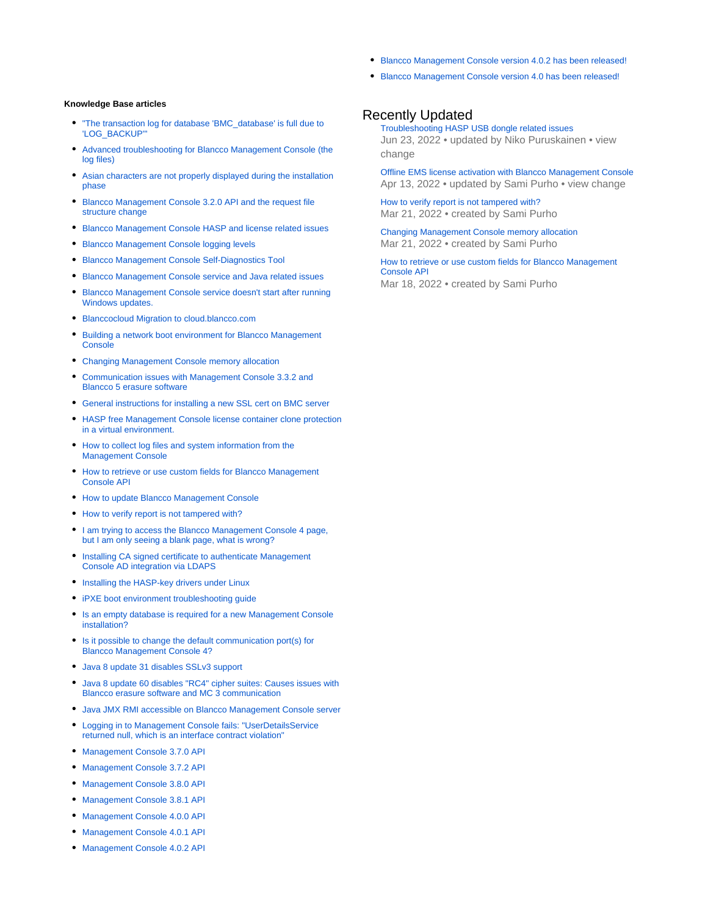- [Blancco Management Console version 4.0.2 has been released!](https://support.blancco.com/pages/viewpage.action?pageId=4489266)
- [Blancco Management Console version 4.0 has been released!](https://support.blancco.com/pages/viewpage.action?pageId=3539602)

# **Knowledge Base articles**

- ["The transaction log for database 'BMC\\_database' is full due to](https://support.blancco.com/pages/viewpage.action?pageId=15171797)  ['LOG\\_BACKUP'"](https://support.blancco.com/pages/viewpage.action?pageId=15171797)
- [Advanced troubleshooting for Blancco Management Console \(the](https://support.blancco.com/pages/viewpage.action?pageId=66000)  [log files\)](https://support.blancco.com/pages/viewpage.action?pageId=66000)
- [Asian characters are not properly displayed during the installation](https://support.blancco.com/display/KB/Asian+characters+are+not+properly+displayed+during+the+installation+phase)  [phase](https://support.blancco.com/display/KB/Asian+characters+are+not+properly+displayed+during+the+installation+phase)
- [Blancco Management Console 3.2.0 API and the request file](https://support.blancco.com/display/KB/Blancco+Management+Console+3.2.0+API+and+the+request+file+structure+change)  [structure change](https://support.blancco.com/display/KB/Blancco+Management+Console+3.2.0+API+and+the+request+file+structure+change)
- [Blancco Management Console HASP and license related issues](https://support.blancco.com/display/KB/Blancco+Management+Console+HASP+and+license+related+issues)
- [Blancco Management Console logging levels](https://support.blancco.com/display/KB/Blancco+Management+Console+logging+levels)
- [Blancco Management Console Self-Diagnostics Tool](https://support.blancco.com/display/KB/Blancco+Management+Console+Self-Diagnostics+Tool)
- [Blancco Management Console service and Java related issues](https://support.blancco.com/display/KB/Blancco+Management+Console+service+and+Java+related+issues)
- [Blancco Management Console service doesn't start after running](https://support.blancco.com/pages/viewpage.action?pageId=38699449)  [Windows updates.](https://support.blancco.com/pages/viewpage.action?pageId=38699449)
- [Blanccocloud Migration to cloud.blancco.com](https://support.blancco.com/display/KB/Blanccocloud+Migration+to+cloud.blancco.com)
- [Building a network boot environment for Blancco Management](https://support.blancco.com/display/KB/Building+a+network+boot+environment+for+Blancco+Management+Console)  **[Console](https://support.blancco.com/display/KB/Building+a+network+boot+environment+for+Blancco+Management+Console)**
- [Changing Management Console memory allocation](https://support.blancco.com/display/KB/Changing+Management+Console+memory+allocation)
- [Communication issues with Management Console 3.3.2 and](https://support.blancco.com/display/KB/Communication+issues+with+Management+Console+3.3.2+and+Blancco+5+erasure+software)  [Blancco 5 erasure software](https://support.blancco.com/display/KB/Communication+issues+with+Management+Console+3.3.2+and+Blancco+5+erasure+software)
- [General instructions for installing a new SSL cert on BMC server](https://support.blancco.com/display/KB/General+instructions+for+installing+a+new+SSL+cert+on+BMC+server)
- [HASP free Management Console license container clone protection](https://support.blancco.com/pages/viewpage.action?pageId=11403285)  [in a virtual environment.](https://support.blancco.com/pages/viewpage.action?pageId=11403285)
- [How to collect log files and system information from the](https://support.blancco.com/display/KB/How+to+collect+log+files+and+system+information+from+the+Management+Console)  [Management Console](https://support.blancco.com/display/KB/How+to+collect+log+files+and+system+information+from+the+Management+Console)
- [How to retrieve or use custom fields for Blancco Management](https://support.blancco.com/display/KB/How+to+retrieve+or+use+custom+fields+for+Blancco+Management+Console+API)  [Console API](https://support.blancco.com/display/KB/How+to+retrieve+or+use+custom+fields+for+Blancco+Management+Console+API)
- [How to update Blancco Management Console](https://support.blancco.com/display/KB/How+to+update+Blancco+Management+Console)
- [How to verify report is not tampered with?](https://support.blancco.com/pages/viewpage.action?pageId=63275602)
- I am trying to access the Blancco Management Console 4 page, [but I am only seeing a blank page, what is wrong?](https://support.blancco.com/pages/viewpage.action?pageId=66043)
- [Installing CA signed certificate to authenticate Management](https://support.blancco.com/display/KB/Installing+CA+signed+certificate+to+authenticate+Management+Console+AD+integration+via+LDAPS)  [Console AD integration via LDAPS](https://support.blancco.com/display/KB/Installing+CA+signed+certificate+to+authenticate+Management+Console+AD+integration+via+LDAPS)
- **[Installing the HASP-key drivers under Linux](https://support.blancco.com/display/KB/Installing+the+HASP-key+drivers+under+Linux)**
- iPXE boot environment troubleshooting quide
- [Is an empty database is required for a new Management Console](https://support.blancco.com/pages/viewpage.action?pageId=66018)  [installation?](https://support.blancco.com/pages/viewpage.action?pageId=66018)
- [Is it possible to change the default communication port\(s\) for](https://support.blancco.com/pages/viewpage.action?pageId=66020)  [Blancco Management Console 4?](https://support.blancco.com/pages/viewpage.action?pageId=66020)
- [Java 8 update 31 disables SSLv3 support](https://support.blancco.com/display/KB/Java+8+update+31+disables+SSLv3+support)
- [Java 8 update 60 disables "RC4" cipher suites: Causes issues with](https://support.blancco.com/pages/viewpage.action?pageId=66033)  [Blancco erasure software and MC 3 communication](https://support.blancco.com/pages/viewpage.action?pageId=66033)
- [Java JMX RMI accessible on Blancco Management Console server](https://support.blancco.com/display/KB/Java+JMX+RMI+accessible+on+Blancco+Management+Console+server)
- [Logging in to Management Console fails: "UserDetailsService](https://support.blancco.com/pages/viewpage.action?pageId=66051)  [returned null, which is an interface contract violation"](https://support.blancco.com/pages/viewpage.action?pageId=66051)
- [Management Console 3.7.0 API](https://support.blancco.com/display/KB/Management+Console+3.7.0+API)
- [Management Console 3.7.2 API](https://support.blancco.com/display/KB/Management+Console+3.7.2+API)
- [Management Console 3.8.0 API](https://support.blancco.com/display/KB/Management+Console+3.8.0+API)
- [Management Console 3.8.1 API](https://support.blancco.com/display/KB/Management+Console+3.8.1+API)
- [Management Console 4.0.0 API](https://support.blancco.com/display/KB/Management+Console+4.0.0+API)
- [Management Console 4.0.1 API](https://support.blancco.com/display/KB/Management+Console+4.0.1+API)
- [Management Console 4.0.2 API](https://support.blancco.com/display/KB/Management+Console+4.0.2+API)

# Recently Updated

[Troubleshooting HASP USB dongle related issues](https://support.blancco.com/display/KB/Troubleshooting+HASP+USB+dongle+related+issues) Jun 23, 2022 • updated by [Niko Puruskainen](https://support.blancco.com/display/~niko) • [view](https://support.blancco.com/pages/diffpagesbyversion.action?pageId=3539250&selectedPageVersions=13&selectedPageVersions=12)  [change](https://support.blancco.com/pages/diffpagesbyversion.action?pageId=3539250&selectedPageVersions=13&selectedPageVersions=12)

[Offline EMS license activation with Blancco Management Console](https://support.blancco.com/display/KB/Offline+EMS+license+activation+with+Blancco+Management+Console) Apr 13, 2022 • updated by [Sami Purho](https://support.blancco.com/display/~sami.purho) • [view change](https://support.blancco.com/pages/diffpagesbyversion.action?pageId=65968&selectedPageVersions=16&selectedPageVersions=15)

[How to verify report is not tampered with?](https://support.blancco.com/pages/viewpage.action?pageId=63275602) Mar 21, 2022 • created by [Sami Purho](https://support.blancco.com/display/~sami.purho)

[Changing Management Console memory allocation](https://support.blancco.com/display/KB/Changing+Management+Console+memory+allocation) Mar 21, 2022 • created by [Sami Purho](https://support.blancco.com/display/~sami.purho)

[How to retrieve or use custom fields for Blancco Management](https://support.blancco.com/display/KB/How+to+retrieve+or+use+custom+fields+for+Blancco+Management+Console+API)  [Console API](https://support.blancco.com/display/KB/How+to+retrieve+or+use+custom+fields+for+Blancco+Management+Console+API) Mar 18, 2022 • created by [Sami Purho](https://support.blancco.com/display/~sami.purho)